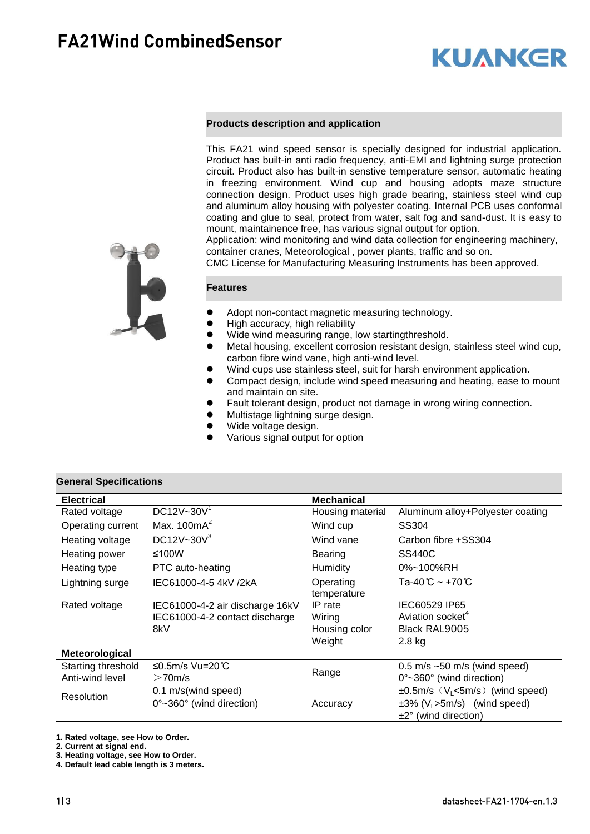# **KUANGR**

#### **Products description and application**

This FA21 wind speed sensor is specially designed for industrial application. Product has built-in anti radio frequency, anti-EMI and lightning surge protection circuit. Product also has built-in senstive temperature sensor, automatic heating in freezing environment. Wind cup and housing adopts maze structure connection design. Product uses high grade bearing, stainless steel wind cup and aluminum alloy housing with polyester coating. Internal PCB uses conformal coating and glue to seal, protect from water, salt fog and sand-dust. It is easy to mount, maintainence free, has various signal output for option.

Application: wind monitoring and wind data collection for engineering machinery, container cranes, Meteorological , power plants, traffic and so on.

CMC License for Manufacturing Measuring Instruments has been approved.

#### **Features**

- Adopt non-contact magnetic measuring technology.
- High accuracy, high reliability
- Wide wind measuring range, low startingthreshold.
- Metal housing, excellent corrosion resistant design, stainless steel wind cup, carbon fibre wind vane, high anti-wind level.
- Wind cups use stainless steel, suit for harsh environment application.
- Compact design, include wind speed measuring and heating, ease to mount and maintain on site.
- Fault tolerant design, product not damage in wrong wiring connection.
- Multistage lightning surge design.
- Wide voltage design.
- Various signal output for option

#### **General Specifications**

| <b>Electrical</b>  |                                              | <b>Mechanical</b>        |                                               |  |
|--------------------|----------------------------------------------|--------------------------|-----------------------------------------------|--|
| Rated voltage      | DC12V~30 $V1$                                | Housing material         | Aluminum alloy+Polyester coating              |  |
| Operating current  | Max. $100mA^2$                               | Wind cup                 | SS304                                         |  |
| Heating voltage    | DC12V~30 $V^3$                               | Wind vane                | Carbon fibre +SS304                           |  |
| Heating power      | ≤100W                                        | Bearing                  | <b>SS440C</b>                                 |  |
| Heating type       | PTC auto-heating                             | Humidity                 | 0%~100%RH                                     |  |
| Lightning surge    | IEC61000-4-5 4kV /2kA                        | Operating<br>temperature | Ta-40℃~+70℃                                   |  |
| Rated voltage      | IEC61000-4-2 air discharge 16kV              | IP rate                  | IEC60529 IP65                                 |  |
|                    | IEC61000-4-2 contact discharge               | Wiring                   | Aviation socket <sup>4</sup>                  |  |
|                    | 8kV                                          | Housing color            | Black RAL9005                                 |  |
|                    |                                              | Weight                   | $2.8$ kg                                      |  |
| Meteorological     |                                              |                          |                                               |  |
| Starting threshold | ≤0.5m/s Vu=20 $\degree$ C                    |                          | $0.5$ m/s $\sim$ 50 m/s (wind speed)          |  |
| Anti-wind level    | $>70$ m/s                                    | Range                    | $0^{\circ}$ ~360 $^{\circ}$ (wind direction)  |  |
| <b>Resolution</b>  | 0.1 m/s(wind speed)                          |                          | $\pm 0.5$ m/s $(V_L$ <5m/s) (wind speed)      |  |
|                    | $0^{\circ}$ ~360 $^{\circ}$ (wind direction) | Accuracy                 | $\pm 3\%$ (V <sub>L</sub> >5m/s) (wind speed) |  |
|                    |                                              |                          | $\pm 2^{\circ}$ (wind direction)              |  |

**1. Rated voltage, see How to Order.**

**2. Current at signal end.** 

**3. Heating voltage, see How to Order.**

**4. Default lead cable length is 3 meters.**

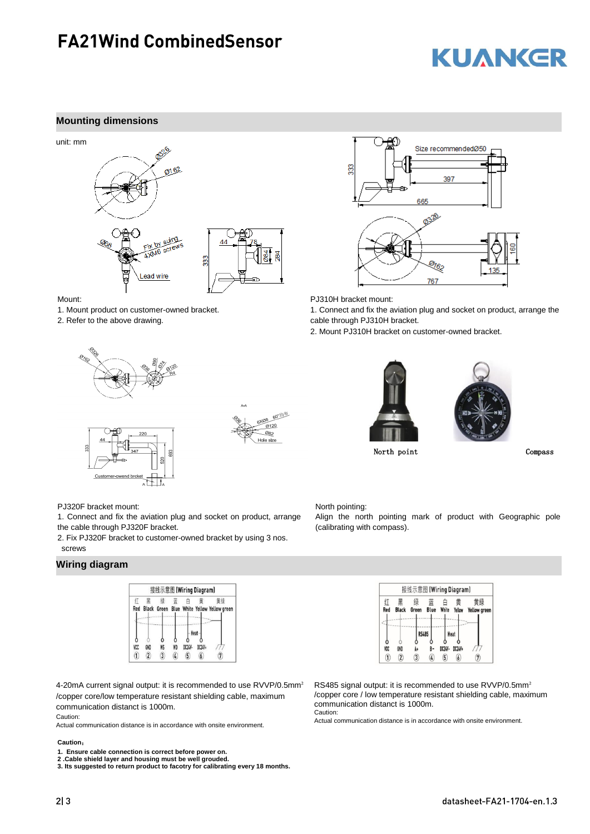### **FA21Wind CombinedSensor**

# **KUANKER**

#### **Mounting dimensions**





Mount:

1. Mount product on customer-owned bracket.

2. Refer to the above drawing.



60°均布 6XQ8  $\frac{6120}{9120}$ 082 Hole size



PJ310H bracket mount:

North pointing:

(calibrating with compass).

1. Connect and fix the aviation plug and socket on product, arrange the cable through PJ310H bracket.

2. Mount PJ310H bracket on customer-owned bracket.





North point Compass

PJ320F bracket mount:

1. Connect and fix the aviation plug and socket on product, arrange the cable through PJ320F bracket.

2. Fix PJ320F bracket to customer-owned bracket by using 3 nos. screws

#### **Wiring diagram**



4-20mA current signal output: it is recommended to use RVVP/0.5mm² /copper core/low temperature resistant shielding cable, maximum communication distanct is 1000m.

Caution:

Actual communication distance is in accordance with onsite environment.

#### **Caution**:

**1. Ensure cable connection is correct before power on.** 

**2 .Cable shield layer and housing must be well grouded.**

**3. Its suggested to return product to facotry for calibrating every 18 months.**

| 接线示意图 [Wiring Diagram] |                         |              |           |        |                  |                           |  |
|------------------------|-------------------------|--------------|-----------|--------|------------------|---------------------------|--|
| 71<br>Red              | 里<br><b>Black</b>       | 绿<br>Green   | 蓝<br>Blue | White  | 黄<br>Yellow      | 黄绿<br><b>Yellow green</b> |  |
|                        |                         |              |           |        |                  |                           |  |
|                        |                         | <b>RS485</b> |           |        | Heat             |                           |  |
|                        |                         |              |           |        |                  |                           |  |
| VCC                    | GND                     |              |           | DC24V- | DC24V+           |                           |  |
|                        | $\overline{\mathbf{2}}$ | 3            | 4         | 5)     | $\boldsymbol{b}$ |                           |  |

Align the north pointing mark of product with Geographic pole

RS485 signal output: it is recommended to use RVVP/0.5mm² /copper core / low temperature resistant shielding cable, maximum communication distanct is 1000m. Caution:

Actual communication distance is in accordance with onsite environment.